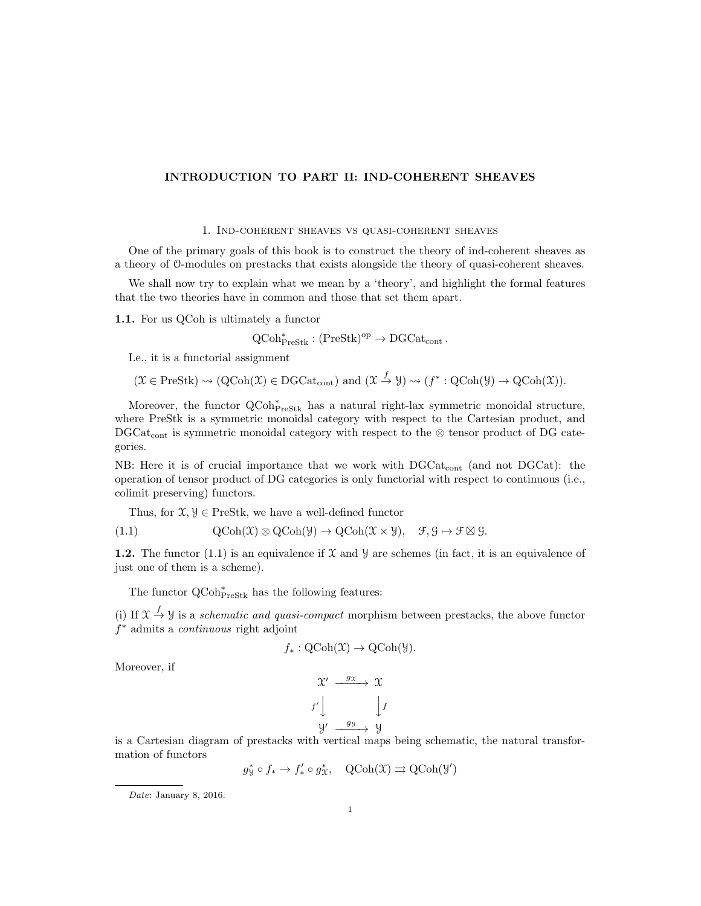## INTRODUCTION TO PART II: IND-COHERENT SHEAVES

## 1. Ind-coherent sheaves vs quasi-coherent sheaves

One of the primary goals of this book is to construct the theory of ind-coherent sheaves as a theory of O-modules on prestacks that exists alongside the theory of quasi-coherent sheaves.

We shall now try to explain what we mean by a 'theory', and highlight the formal features that the two theories have in common and those that set them apart.

1.1. For us QCoh is ultimately a functor

 $QCoh_{PreStk}^* : (PreStk)^{op} \to DGCat_{cont}.$ 

I.e., it is a functorial assignment

$$
(\mathfrak{X} \in \mathrm{PreStk}) \rightsquigarrow (\mathrm{QCoh}(\mathfrak{X}) \in \mathrm{DGCat}_{\mathrm{cont}}) \text{ and } (\mathfrak{X} \stackrel{f}{\rightarrow} \mathfrak{Y}) \rightsquigarrow (f^* : \mathrm{QCoh}(\mathfrak{Y}) \rightarrow \mathrm{QCoh}(\mathfrak{X})).
$$

Moreover, the functor  $QCoh_{\text{PreStk}}^*$  has a natural right-lax symmetric monoidal structure, where PreStk is a symmetric monoidal category with respect to the Cartesian product, and DGCat<sub>cont</sub> is symmetric monoidal category with respect to the ⊗ tensor product of DG categories.

NB: Here it is of crucial importance that we work with  $DGCat_{cont}$  (and not DGCat): the operation of tensor product of DG categories is only functorial with respect to continuous (i.e., colimit preserving) functors.

Thus, for  $\mathfrak{X}, \mathcal{Y} \in \text{PreStk}$ , we have a well-defined functor

(1.1) 
$$
\mathrm{QCoh}(\mathfrak{X}) \otimes \mathrm{QCoh}(\mathfrak{Y}) \to \mathrm{QCoh}(\mathfrak{X} \times \mathfrak{Y}), \quad \mathfrak{F}, \mathfrak{G} \mapsto \mathfrak{F} \boxtimes \mathfrak{G}.
$$

1.2. The functor  $(1.1)$  is an equivalence if X and Y are schemes (in fact, it is an equivalence of just one of them is a scheme).

The functor  $\operatorname{QCoh}^*_{\operatorname{PreStk}}$  has the following features:

(i) If  $\mathfrak{X} \stackrel{f}{\rightarrow} \mathfrak{Y}$  is a *schematic and quasi-compact* morphism between prestacks, the above functor f <sup>∗</sup> admits a continuous right adjoint

$$
f_*: \mathrm{QCoh}(\mathfrak{X}) \to \mathrm{QCoh}(\mathfrak{Y}).
$$

Moreover, if

$$
\begin{array}{ccc}\n\mathfrak{X}' & \xrightarrow{g_{\mathfrak{X}}} & \mathfrak{X} \\
f' \downarrow & & \downarrow f \\
\mathfrak{Y}' & \xrightarrow{g_{\mathfrak{Y}}} & \mathfrak{Y}\n\end{array}
$$

is a Cartesian diagram of prestacks with vertical maps being schematic, the natural transformation of functors

$$
g^*_\mathcal{Y}\circ f_*\to f'_*\circ g^*_\mathcal{X},\quad \text{QCoh}(\mathcal{X})\rightrightarrows \text{QCoh}(\mathcal{Y}')
$$

Date: January 8, 2016.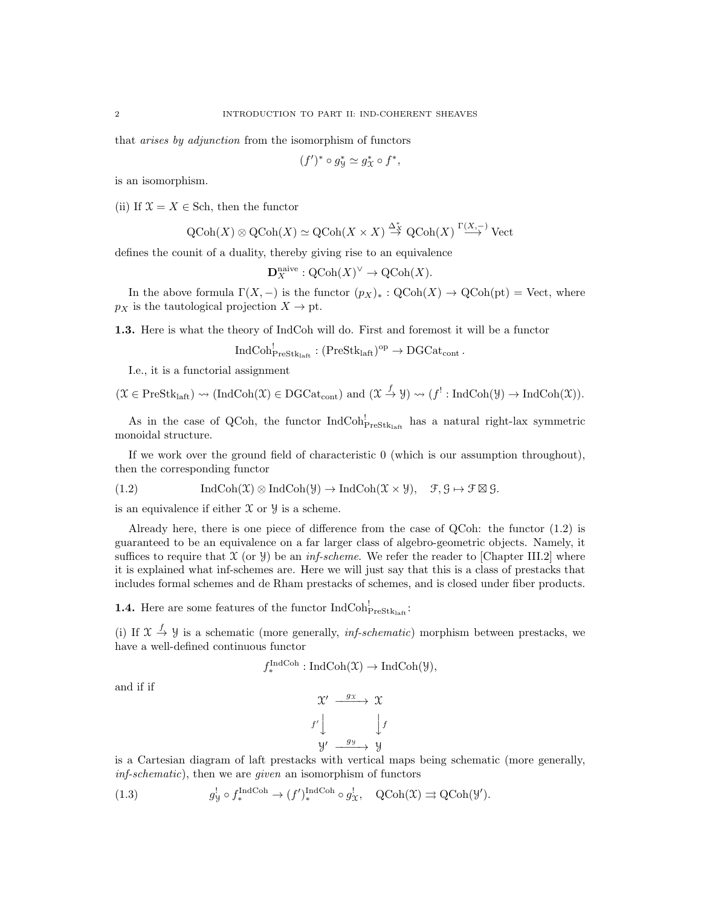that arises by adjunction from the isomorphism of functors

$$
(f')^* \circ g^*_{\mathcal{Y}} \simeq g^*_{\mathcal{X}} \circ f^*,
$$

is an isomorphism.

(ii) If  $\mathfrak{X} = X \in$  Sch, then the functor

$$
QCoh(X) \otimes QCoh(X) \simeq QCoh(X \times X) \stackrel{\Delta_X^*}{\to} QCoh(X) \stackrel{\Gamma(X, -)}{\to} Vect
$$

defines the counit of a duality, thereby giving rise to an equivalence

$$
\mathbf{D}_X^{\text{naive}} : \mathrm{QCoh}(X)^\vee \to \mathrm{QCoh}(X).
$$

In the above formula  $\Gamma(X, -)$  is the functor  $(p_X)_*: \text{QCoh}(X) \to \text{QCoh}(\text{pt}) = \text{Vect}$ , where  $p_X$  is the tautological projection  $X \to pt$ .

1.3. Here is what the theory of IndCoh will do. First and foremost it will be a functor

$$
\mathrm{IndCoh}^!_{\mathrm{PreStk}_\mathrm{laff}}: (\mathrm{PreStk}_\mathrm{laff})^\mathrm{op} \to \mathrm{DGCat}_\mathrm{cont}\,.
$$

I.e., it is a functorial assignment

$$
(\mathfrak{X} \in \mathrm{PreStk}_{\mathrm{laft}}) \rightsquigarrow (\mathrm{IndCoh}(\mathfrak{X}) \in \mathrm{DGCat}_{\mathrm{cont}}) \text{ and } (\mathfrak{X} \xrightarrow{f} \mathcal{Y}) \rightsquigarrow (f^!: \mathrm{IndCoh}(\mathcal{Y}) \rightarrow \mathrm{IndCoh}(\mathfrak{X})).
$$

As in the case of QCoh, the functor  $IndCoh_{PreStk<sub>latt</sub>}^{\perp}$  has a natural right-lax symmetric monoidal structure.

If we work over the ground field of characteristic 0 (which is our assumption throughout), then the corresponding functor

(1.2) 
$$
\operatorname{IndCoh}(\mathfrak{X}) \otimes \operatorname{IndCoh}(\mathfrak{Y}) \to \operatorname{IndCoh}(\mathfrak{X} \times \mathfrak{Y}), \quad \mathfrak{F}, \mathfrak{G} \mapsto \mathfrak{F} \boxtimes \mathfrak{G}.
$$

is an equivalence if either  $X$  or  $Y$  is a scheme.

Already here, there is one piece of difference from the case of QCoh: the functor (1.2) is guaranteed to be an equivalence on a far larger class of algebro-geometric objects. Namely, it suffices to require that  $\mathfrak X$  (or  $\mathfrak Y$ ) be an *inf-scheme*. We refer the reader to [Chapter III.2] where it is explained what inf-schemes are. Here we will just say that this is a class of prestacks that includes formal schemes and de Rham prestacks of schemes, and is closed under fiber products.

**1.4.** Here are some features of the functor  $IndCoh_{PreStk<sub>laff</sub>}^!$ :

(i) If  $\mathfrak{X} \stackrel{f}{\rightarrow} \mathfrak{Y}$  is a schematic (more generally, *inf-schematic*) morphism between prestacks, we have a well-defined continuous functor

$$
f^{\text{IndCoh}}_{*}: \text{IndCoh}(\mathfrak{X}) \to \text{IndCoh}(\mathfrak{Y}),
$$

and if if

$$
\begin{array}{ccc}\n\mathfrak{X}' & \xrightarrow{g_{\mathfrak{X}}} & \mathfrak{X} \\
f' \downarrow & & \downarrow f \\
\mathfrak{Y}' & \xrightarrow{g_{\mathfrak{Y}}} & \mathfrak{Y}\n\end{array}
$$

is a Cartesian diagram of laft prestacks with vertical maps being schematic (more generally, inf-schematic), then we are given an isomorphism of functors

(1.3) 
$$
g^!_{\mathcal{Y}} \circ f^{\text{IndCoh}}_{*} \to (f')^{\text{IndCoh}}_{*} \circ g^!_{\mathcal{X}}, \quad \text{QCoh}(\mathcal{X}) \rightrightarrows \text{QCoh}(\mathcal{Y}').
$$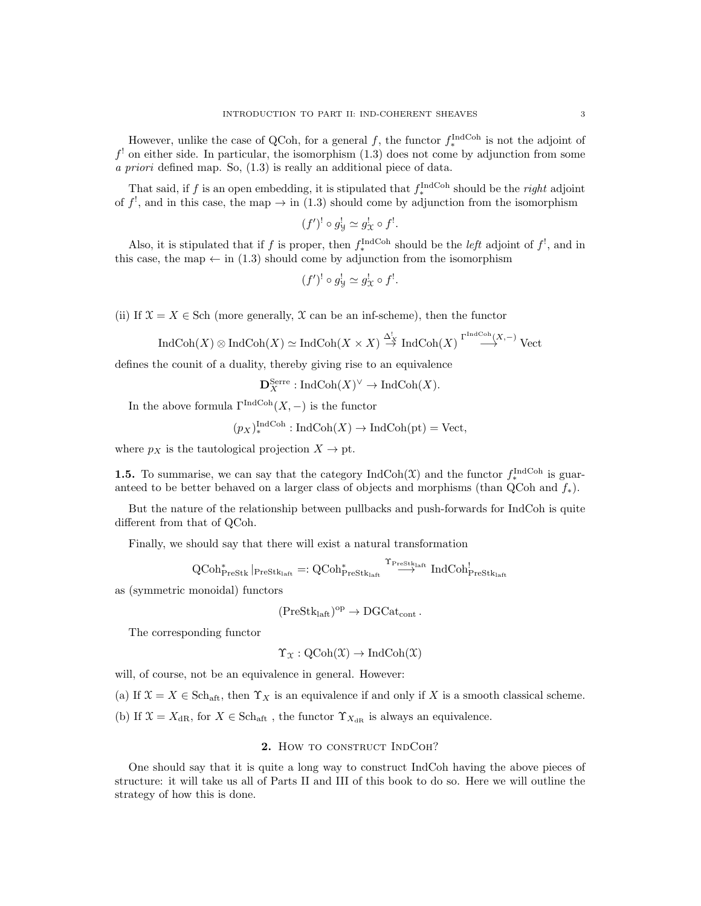However, unlike the case of QCoh, for a general f, the functor  $f_*^{\text{IndCoh}}$  is not the adjoint of  $f<sup>!</sup>$  on either side. In particular, the isomorphism  $(1.3)$  does not come by adjunction from some a priori defined map. So, (1.3) is really an additional piece of data.

That said, if f is an open embedding, it is stipulated that  $f_*^{\text{IndCoh}}$  should be the *right* adjoint of  $f^!,$  and in this case, the map  $\rightarrow$  in (1.3) should come by adjunction from the isomorphism

$$
(f')^! \circ g^!_{\mathcal{Y}} \simeq g^!_{\mathcal{X}} \circ f^!.
$$

Also, it is stipulated that if f is proper, then  $f_*^{\text{IndCoh}}$  should be the *left* adjoint of  $f^!$ , and in this case, the map  $\leftarrow$  in (1.3) should come by adjunction from the isomorphism

$$
(f')^! \circ g^!_{\mathcal{Y}} \simeq g^!_{\mathcal{X}} \circ f^!.
$$

(ii) If  $\mathfrak{X} = X \in$  Sch (more generally,  $\mathfrak X$  can be an inf-scheme), then the functor

$$
\operatorname{IndCoh}(X) \otimes \operatorname{IndCoh}(X) \simeq \operatorname{IndCoh}(X \times X) \stackrel{\Delta_X^!}{\to} \operatorname{IndCoh}(X) \stackrel{\Gamma^{\operatorname{IndCoh}}(X, -)}{\longrightarrow} \operatorname{Vect}
$$

defines the counit of a duality, thereby giving rise to an equivalence

 $\mathbf{D}_X^{\text{Serre}} : \text{IndCoh}(X)^\vee \to \text{IndCoh}(X).$ 

In the above formula  $\Gamma^{\operatorname{IndCoh}}(X,-)$  is the functor

$$
(p_X)_*^{\text{IndCoh}} : \text{IndCoh}(X) \to \text{IndCoh}(\text{pt}) = \text{Vect},
$$

where  $p_X$  is the tautological projection  $X \to pt$ .

**1.5.** To summarise, we can say that the category  $\text{IndCoh}(\mathcal{X})$  and the functor  $f_*^{\text{IndCoh}}$  is guaranteed to be better behaved on a larger class of objects and morphisms (than QCoh and  $f_*$ ).

But the nature of the relationship between pullbacks and push-forwards for IndCoh is quite different from that of QCoh.

Finally, we should say that there will exist a natural transformation

$$
\operatorname{QCoh}\nolimits^*_\text{PreStk}\vert_{\operatorname{PreStk}_\text{laft}}=:\operatorname{QCoh}\nolimits^*_\text{PreStk}_\text{laft}\xrightarrow{\Upsilon_\text{PreStk}_\text{laft}}\operatorname{IndCoh}\nolimits^!_{\operatorname{PreStk}_\text{laft}}
$$

as (symmetric monoidal) functors

$$
({\rm PreStk}_{\rm laft})^{\rm op}\to {\rm DGCat}_{\rm cont}\,.
$$

The corresponding functor

$$
\Upsilon_{\mathfrak{X}}: \mathrm{QCoh}(\mathfrak{X}) \to \mathrm{IndCoh}(\mathfrak{X})
$$

will, of course, not be an equivalence in general. However:

(a) If  $\mathfrak{X} = X \in \text{Sch}_{\text{aff}}$ , then  $\Upsilon_X$  is an equivalence if and only if X is a smooth classical scheme.

(b) If  $\mathfrak{X} = X_{\text{dR}}$ , for  $X \in \text{Sch}_{\text{aft}}$ , the functor  $\Upsilon_{X_{\text{dR}}}$  is always an equivalence.

## 2. How to construct IndCoh?

One should say that it is quite a long way to construct IndCoh having the above pieces of structure: it will take us all of Parts II and III of this book to do so. Here we will outline the strategy of how this is done.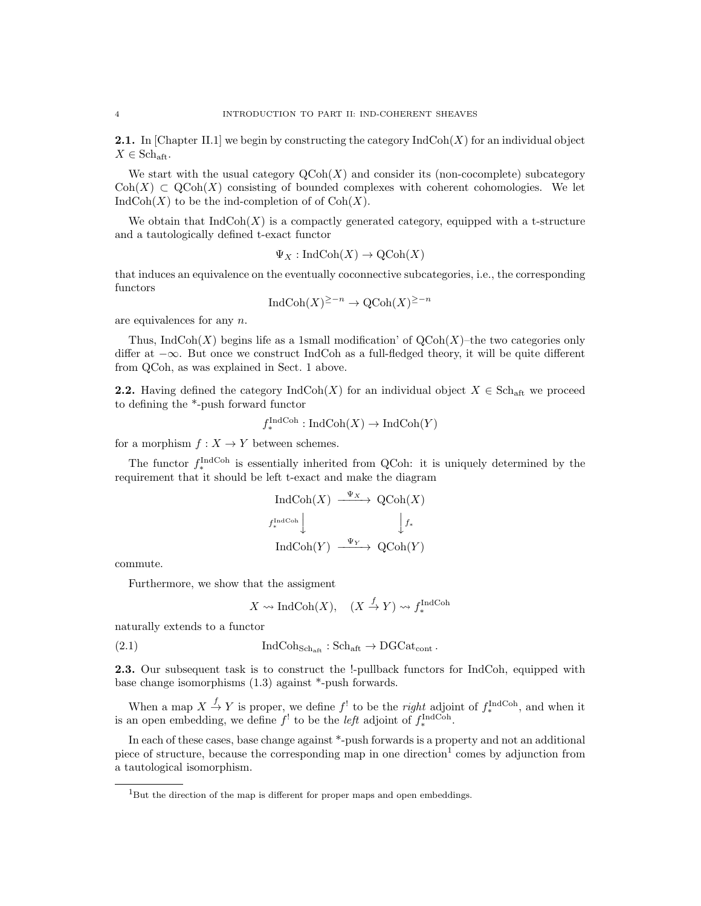**2.1.** In [Chapter II.1] we begin by constructing the category  $IndCoh(X)$  for an individual object  $X \in \mathbf{Sch}_{\mathrm{aft}}.$ 

We start with the usual category  $\text{QCoh}(X)$  and consider its (non-cocomplete) subcategory  $\text{Coh}(X) \subset \text{QCoh}(X)$  consisting of bounded complexes with coherent cohomologies. We let  $IndCoh(X)$  to be the ind-completion of of  $Coh(X)$ .

We obtain that  $IndCoh(X)$  is a compactly generated category, equipped with a t-structure and a tautologically defined t-exact functor

$$
\Psi_X : \text{IndCoh}(X) \to \text{QCoh}(X)
$$

that induces an equivalence on the eventually coconnective subcategories, i.e., the corresponding functors

$$
IndCoh(X)^{\geq -n} \to \mathrm{QCoh}(X)^{\geq -n}
$$

are equivalences for any n.

Thus, IndCoh(X) begins life as a 1small modification' of  $QCoh(X)$ –the two categories only differ at −∞. But once we construct IndCoh as a full-fledged theory, it will be quite different from QCoh, as was explained in Sect. 1 above.

**2.2.** Having defined the category  $\text{IndCoh}(X)$  for an individual object  $X \in \text{Sch}_{\text{aff}}$  we proceed to defining the \*-push forward functor

$$
f_*^{\text{IndCoh}} : \text{IndCoh}(X) \to \text{IndCoh}(Y)
$$

for a morphism  $f: X \to Y$  between schemes.

The functor  $f_*^{\text{IndCoh}}$  is essentially inherited from QCoh: it is uniquely determined by the requirement that it should be left t-exact and make the diagram

$$
\operatorname{IndCoh}(X) \xrightarrow{\Psi_X} \operatorname{QCoh}(X)
$$
  
 $f_*^{\operatorname{IndCoh}} \downarrow \qquad \qquad \downarrow f_*$   

$$
\operatorname{IndCoh}(Y) \xrightarrow{\Psi_Y} \operatorname{QCoh}(Y)
$$

commute.

Furthermore, we show that the assigment

$$
X \rightsquigarrow \text{IndCoh}(X), \quad (X \xrightarrow{f} Y) \rightsquigarrow f_*^{\text{IndCoh}}
$$

naturally extends to a functor

(2.1) 
$$
\text{IndCoh}_{\text{Sch}_{\text{aff}}} : \text{Sch}_{\text{aff}} \to \text{DGCat}_{\text{cont}}.
$$

2.3. Our subsequent task is to construct the !-pullback functors for IndCoh, equipped with base change isomorphisms (1.3) against \*-push forwards.

When a map  $X \stackrel{f}{\to} Y$  is proper, we define  $f'$  to be the *right* adjoint of  $f_*^{\text{IndCoh}}$ , and when it is an open embedding, we define  $f^!$  to be the *left* adjoint of  $f_*^{\text{IndCoh}}$ .

In each of these cases, base change against \*-push forwards is a property and not an additional piece of structure, because the corresponding map in one direction<sup>1</sup> comes by adjunction from a tautological isomorphism.

<sup>&</sup>lt;sup>1</sup>But the direction of the map is different for proper maps and open embeddings.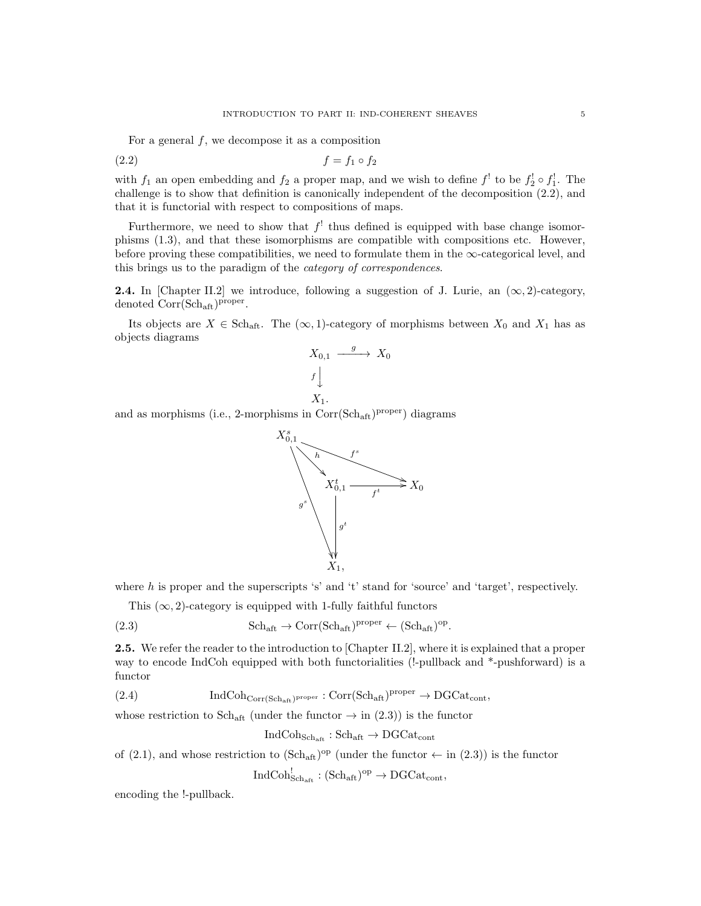For a general  $f$ , we decompose it as a composition

$$
(2.2) \t\t\t f = f_1 \circ f_2
$$

with  $f_1$  an open embedding and  $f_2$  a proper map, and we wish to define  $f_1$ <sup>t</sup> to be  $f_2^{\dagger} \circ f_1^{\dagger}$ . The challenge is to show that definition is canonically independent of the decomposition (2.2), and that it is functorial with respect to compositions of maps.

Furthermore, we need to show that  $f'$  thus defined is equipped with base change isomorphisms (1.3), and that these isomorphisms are compatible with compositions etc. However, before proving these compatibilities, we need to formulate them in the  $\infty$ -categorical level, and this brings us to the paradigm of the category of correspondences.

**2.4.** In [Chapter II.2] we introduce, following a suggestion of J. Lurie, an  $(\infty, 2)$ -category, denoted  $Corr(Sch_{\text{aft}})^{proper}$ .

Its objects are  $X \in Sch_{\text{aff}}$ . The  $(\infty, 1)$ -category of morphisms between  $X_0$  and  $X_1$  has as objects diagrams

$$
X_{0,1} \xrightarrow{g} X_0
$$

$$
f \downarrow
$$

$$
X_1.
$$

and as morphisms (i.e., 2-morphisms in Corr(Sch<sub>aft</sub>)<sup>proper</sup>) diagrams



where h is proper and the superscripts 's' and 't' stand for 'source' and 'target', respectively.

This  $(\infty, 2)$ -category is equipped with 1-fully faithful functors

(2.3) 
$$
\mathrm{Sch}_{\mathrm{aft}} \to \mathrm{Corr}(\mathrm{Sch}_{\mathrm{aft}})^{\mathrm{proper}} \leftarrow (\mathrm{Sch}_{\mathrm{aft}})^{\mathrm{op}}.
$$

2.5. We refer the reader to the introduction to [Chapter II.2], where it is explained that a proper way to encode IndCoh equipped with both functorialities (!-pullback and \*-pushforward) is a functor

(2.4)  $\qquad \qquad \text{IndCoh}_{\text{Corr}(\text{Sch}_{\text{aff}})^{\text{proper}}} : \text{Corr}(\text{Sch}_{\text{aff}})^{\text{proper}} \to \text{DGCat}_{\text{cont}},$ 

whose restriction to Sch<sub>aft</sub> (under the functor  $\rightarrow$  in (2.3)) is the functor

$$
\mathrm{IndCoh}_{\mathrm{Sch}_{\mathrm{aff}}}: \mathrm{Sch}_{\mathrm{aff}} \rightarrow \mathrm{DGCat}_{\mathrm{cont}}
$$

of (2.1), and whose restriction to  $(\text{Sch}_{\text{aff}})^{\text{op}}$  (under the functor  $\leftarrow$  in (2.3)) is the functor

 $\text{IndCoh}_{\text{Sch}_{\text{aff}}}^! : (\text{Sch}_{\text{aff}})^{\text{op}} \to \text{DGCat}_{\text{cont}},$ 

encoding the !-pullback.